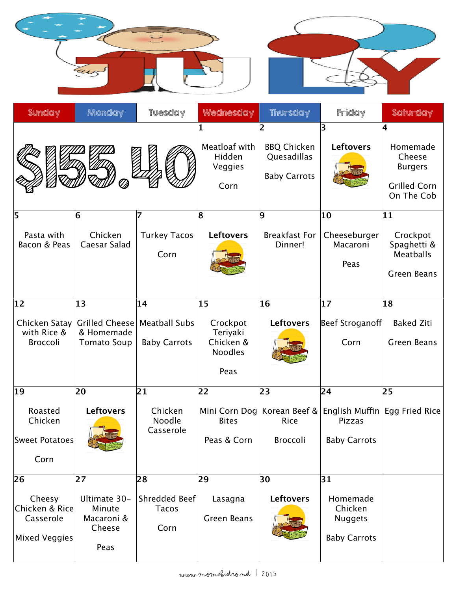| Sunday                                                              | Monday                                                          | <b>Tuesday</b>                                    | Wednesday                                                                   | Thursday                                                      | Friday                                                             | Saturday                                                                          |
|---------------------------------------------------------------------|-----------------------------------------------------------------|---------------------------------------------------|-----------------------------------------------------------------------------|---------------------------------------------------------------|--------------------------------------------------------------------|-----------------------------------------------------------------------------------|
|                                                                     |                                                                 |                                                   | Meatloaf with<br>Hidden<br>Veggies<br>Corn                                  | 2<br><b>BBQ Chicken</b><br>Quesadillas<br><b>Baby Carrots</b> | 3<br><b>Leftovers</b>                                              | 4<br>Homemade<br>Cheese<br><b>Burgers</b><br><b>Grilled Corn</b><br>On The Cob    |
| 5<br>Pasta with<br>Bacon & Peas                                     | 6<br>Chicken<br>Caesar Salad                                    | 7<br><b>Turkey Tacos</b><br>Corn                  | 8<br><b>Leftovers</b>                                                       | $ 9\rangle$<br><b>Breakfast For</b><br>Dinner!                | 10<br>Cheeseburger<br>Macaroni<br>Peas                             | $ 11\rangle$<br>Crockpot<br>Spaghetti &<br><b>Meatballs</b><br><b>Green Beans</b> |
| $ 12\rangle$<br>Chicken Satay<br>with Rice &<br>Broccoli            | 13<br><b>Grilled Cheese</b><br>& Homemade<br><b>Tomato Soup</b> | 14<br><b>Meatball Subs</b><br><b>Baby Carrots</b> | $ 15\rangle$<br>Crockpot<br>Teriyaki<br>Chicken &<br><b>Noodles</b><br>Peas | 16<br><b>Leftovers</b>                                        | 17<br>Beef Stroganoff<br>Corn                                      | 18 <br><b>Baked Ziti</b><br><b>Green Beans</b>                                    |
| $ 19\rangle$<br>Roasted<br>Chicken<br>Sweet Potatoes<br>Corn        | 20<br><b>Leftovers</b>                                          | $\overline{21}$<br>Chicken<br>Noodle<br>Casserole | 22<br>Mini Corn Dog<br><b>Bites</b><br>Peas & Corn                          | 23<br>Korean Beef &<br>Rice<br>Broccoli                       | 24<br>English Muffin<br>Pizzas<br><b>Baby Carrots</b>              | 25<br>Egg Fried Rice                                                              |
| 26<br>Cheesy<br>Chicken & Rice<br>Casserole<br><b>Mixed Veggies</b> | 27 <br>Ultimate 30-<br>Minute<br>Macaroni &<br>Cheese<br>Peas   | 28<br>Shredded Beef<br><b>Tacos</b><br>Corn       | 29<br>Lasagna<br><b>Green Beans</b>                                         | 30<br><b>Leftovers</b>                                        | 31<br>Homemade<br>Chicken<br><b>Nuggets</b><br><b>Baby Carrots</b> |                                                                                   |